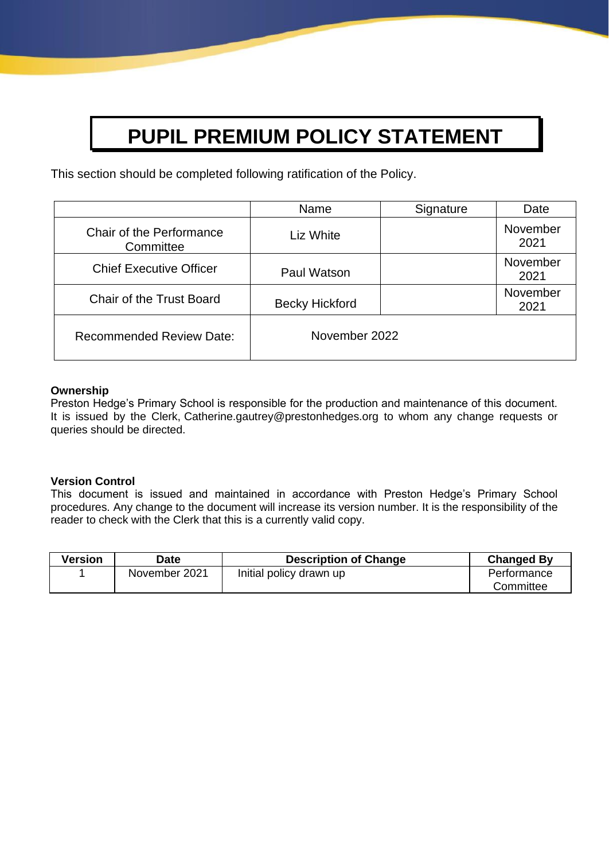# **PUPIL PREMIUM POLICY STATEMENT**

This section should be completed following ratification of the Policy.

|                                       | Name                  | Signature | Date             |
|---------------------------------------|-----------------------|-----------|------------------|
| Chair of the Performance<br>Committee | Liz White             |           | November<br>2021 |
| <b>Chief Executive Officer</b>        | Paul Watson           |           | November<br>2021 |
| <b>Chair of the Trust Board</b>       | <b>Becky Hickford</b> |           | November<br>2021 |
| <b>Recommended Review Date:</b>       | November 2022         |           |                  |

#### **Ownership**

Preston Hedge's Primary School is responsible for the production and maintenance of this document. It is issued by the Clerk, Catherine.gautrey@prestonhedges.org to whom any change requests or queries should be directed.

## **Version Control**

This document is issued and maintained in accordance with Preston Hedge's Primary School procedures. Any change to the document will increase its version number. It is the responsibility of the reader to check with the Clerk that this is a currently valid copy.

| Version | Date          | <b>Description of Change</b> | <b>Changed By</b> |
|---------|---------------|------------------------------|-------------------|
|         | November 2021 | Initial policy drawn up      | Performance       |
|         |               |                              | Committee         |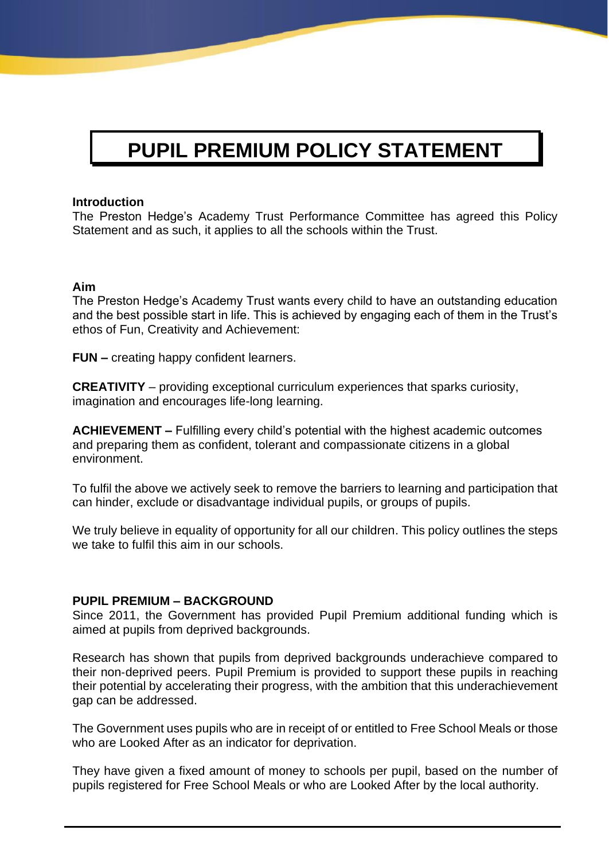# **PUPIL PREMIUM POLICY STATEMENT**

#### **Introduction**

The Preston Hedge's Academy Trust Performance Committee has agreed this Policy Statement and as such, it applies to all the schools within the Trust.

## **Aim**

The Preston Hedge's Academy Trust wants every child to have an outstanding education and the best possible start in life. This is achieved by engaging each of them in the Trust's ethos of Fun, Creativity and Achievement:

**FUN –** creating happy confident learners.

**CREATIVITY** – providing exceptional curriculum experiences that sparks curiosity, imagination and encourages life-long learning.

**ACHIEVEMENT –** Fulfilling every child's potential with the highest academic outcomes and preparing them as confident, tolerant and compassionate citizens in a global environment.

To fulfil the above we actively seek to remove the barriers to learning and participation that can hinder, exclude or disadvantage individual pupils, or groups of pupils.

We truly believe in equality of opportunity for all our children. This policy outlines the steps we take to fulfil this aim in our schools.

## **PUPIL PREMIUM – BACKGROUND**

Since 2011, the Government has provided Pupil Premium additional funding which is aimed at pupils from deprived backgrounds.

Research has shown that pupils from deprived backgrounds underachieve compared to their non‐deprived peers. Pupil Premium is provided to support these pupils in reaching their potential by accelerating their progress, with the ambition that this underachievement gap can be addressed.

The Government uses pupils who are in receipt of or entitled to Free School Meals or those who are Looked After as an indicator for deprivation.

They have given a fixed amount of money to schools per pupil, based on the number of pupils registered for Free School Meals or who are Looked After by the local authority.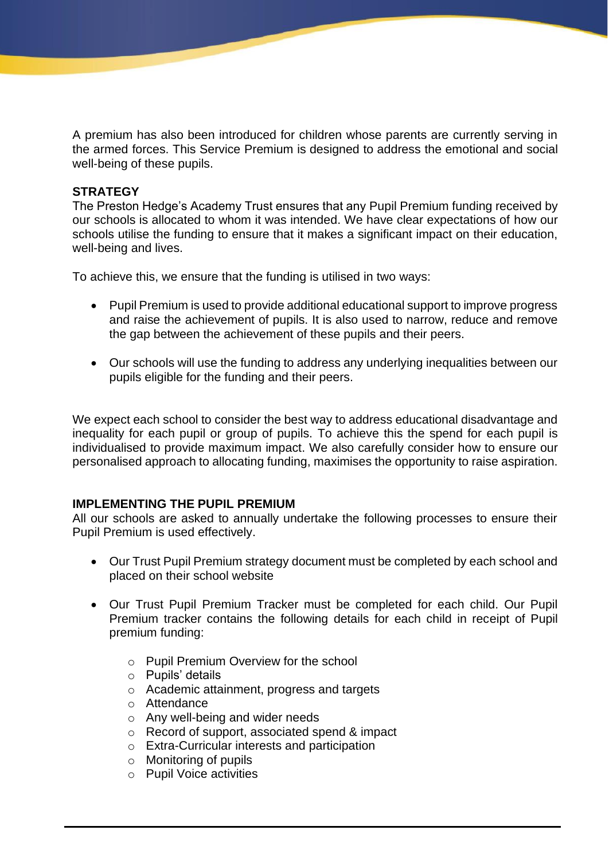A premium has also been introduced for children whose parents are currently serving in the armed forces. This Service Premium is designed to address the emotional and social well-being of these pupils.

## **STRATEGY**

The Preston Hedge's Academy Trust ensures that any Pupil Premium funding received by our schools is allocated to whom it was intended. We have clear expectations of how our schools utilise the funding to ensure that it makes a significant impact on their education, well-being and lives.

To achieve this, we ensure that the funding is utilised in two ways:

- Pupil Premium is used to provide additional educational support to improve progress and raise the achievement of pupils. It is also used to narrow, reduce and remove the gap between the achievement of these pupils and their peers.
- Our schools will use the funding to address any underlying inequalities between our pupils eligible for the funding and their peers.

We expect each school to consider the best way to address educational disadvantage and inequality for each pupil or group of pupils. To achieve this the spend for each pupil is individualised to provide maximum impact. We also carefully consider how to ensure our personalised approach to allocating funding, maximises the opportunity to raise aspiration.

# **IMPLEMENTING THE PUPIL PREMIUM**

All our schools are asked to annually undertake the following processes to ensure their Pupil Premium is used effectively.

- Our Trust Pupil Premium strategy document must be completed by each school and placed on their school website
- Our Trust Pupil Premium Tracker must be completed for each child. Our Pupil Premium tracker contains the following details for each child in receipt of Pupil premium funding:
	- o Pupil Premium Overview for the school
	- o Pupils' details
	- o Academic attainment, progress and targets
	- o Attendance
	- o Any well-being and wider needs
	- o Record of support, associated spend & impact
	- o Extra-Curricular interests and participation
	- o Monitoring of pupils
	- o Pupil Voice activities